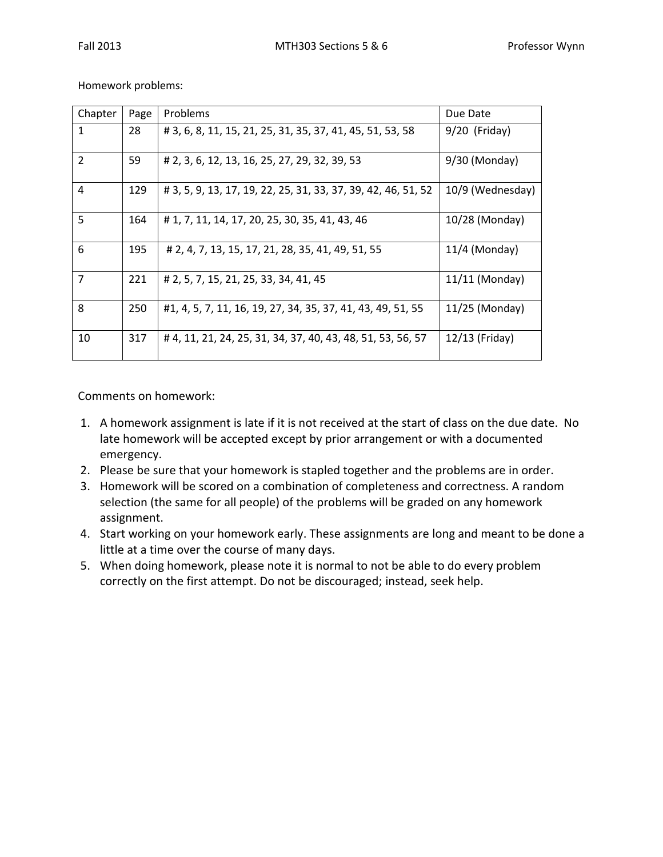Homework problems:

| Chapter        | Page | Problems                                                      | Due Date         |
|----------------|------|---------------------------------------------------------------|------------------|
| $\mathbf{1}$   | 28   | # 3, 6, 8, 11, 15, 21, 25, 31, 35, 37, 41, 45, 51, 53, 58     | $9/20$ (Friday)  |
| 2              | 59   | # 2, 3, 6, 12, 13, 16, 25, 27, 29, 32, 39, 53                 | $9/30$ (Monday)  |
| $\overline{4}$ | 129  | # 3, 5, 9, 13, 17, 19, 22, 25, 31, 33, 37, 39, 42, 46, 51, 52 | 10/9 (Wednesday) |
| 5              | 164  | # 1, 7, 11, 14, 17, 20, 25, 30, 35, 41, 43, 46                | 10/28 (Monday)   |
| 6              | 195  | # 2, 4, 7, 13, 15, 17, 21, 28, 35, 41, 49, 51, 55             | $11/4$ (Monday)  |
| $\overline{7}$ | 221  | # 2, 5, 7, 15, 21, 25, 33, 34, 41, 45                         | $11/11$ (Monday) |
| 8              | 250  | #1, 4, 5, 7, 11, 16, 19, 27, 34, 35, 37, 41, 43, 49, 51, 55   | $11/25$ (Monday) |
| 10             | 317  | # 4, 11, 21, 24, 25, 31, 34, 37, 40, 43, 48, 51, 53, 56, 57   | 12/13 (Friday)   |

Comments on homework:

- 1. A homework assignment is late if it is not received at the start of class on the due date. No late homework will be accepted except by prior arrangement or with a documented emergency.
- 2. Please be sure that your homework is stapled together and the problems are in order.
- 3. Homework will be scored on a combination of completeness and correctness. A random selection (the same for all people) of the problems will be graded on any homework assignment.
- 4. Start working on your homework early. These assignments are long and meant to be done a little at a time over the course of many days.
- 5. When doing homework, please note it is normal to not be able to do every problem correctly on the first attempt. Do not be discouraged; instead, seek help.